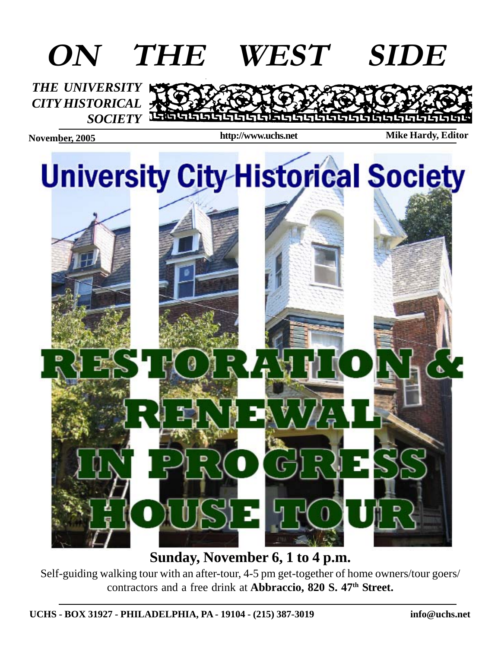

**Sunday, November 6, 1 to 4 p.m.**

Self-guiding walking tour with an after-tour, 4-5 pm get-together of home owners/tour goers/ contractors and a free drink at **Abbraccio, 820 S. 47th Street.**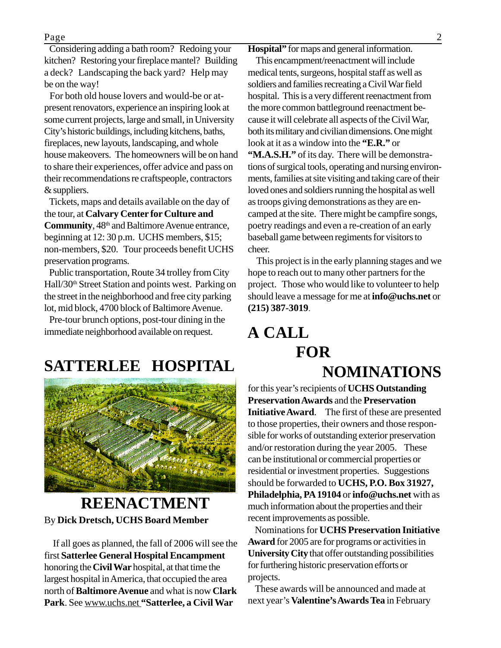Page 2 Considering adding a bath room? Redoing your kitchen? Restoring your fireplace mantel? Building a deck? Landscaping the back yard? Help may be on the way!

 For both old house lovers and would-be or atpresent renovators, experience an inspiring look at some current projects, large and small, in University City's historic buildings, including kitchens, baths, fireplaces, new layouts, landscaping, and whole house makeovers. The homeowners will be on hand to share their experiences, offer advice and pass on their recommendations re craftspeople, contractors & suppliers.

 Tickets, maps and details available on the day of the tour, at **Calvary Center for Culture and Community**,  $48<sup>th</sup>$  and Baltimore Avenue entrance, beginning at 12: 30 p.m. UCHS members, \$15; non-members, \$20. Tour proceeds benefit UCHS preservation programs.

 Public transportation, Route 34 trolley from City Hall/30th Street Station and points west. Parking on the street in the neighborhood and free city parking lot, mid block, 4700 block of Baltimore Avenue.

 Pre-tour brunch options, post-tour dining in the immediate neighborhood available on request.

#### **SATTERLEE HOSPITAL**



#### **REENACTMENT** By **Dick Dretsch, UCHS Board Member**

 If all goes as planned, the fall of 2006 will see the first **Satterlee General Hospital Encampment** honoring the **Civil War** hospital, at that time the largest hospital in America, that occupied the area north of **Baltimore Avenue** and what is now **Clark Park**. See www.uchs.net **"Satterlee, a Civil War**

**Hospital"** for maps and general information. This encampment/reenactment will include medical tents, surgeons, hospital staff as well as soldiers and families recreating a Civil War field hospital. This is a very different reenactment from the more common battleground reenactment because it will celebrate all aspects of the Civil War, both its military and civilian dimensions. One might look at it as a window into the **"E.R."** or **"M.A.S.H."** of its day. There will be demonstrations of surgical tools, operating and nursing environments, families at site visiting and taking care of their loved ones and soldiers running the hospital as well as troops giving demonstrations as they are encamped at the site. There might be campfire songs, poetry readings and even a re-creation of an early baseball game between regiments for visitors to cheer.

 This project is in the early planning stages and we hope to reach out to many other partners for the project. Those who would like to volunteer to help should leave a message for me at **info@uchs.net** or **(215) 387-3019**.

### **A CALL FOR NOMINATIONS**

for this year's recipients of **UCHS Outstanding Preservation Awards** and the **Preservation Initiative Award**. The first of these are presented to those properties, their owners and those responsible for works of outstanding exterior preservation and/or restoration during the year 2005. These can be institutional or commercial properties or residential or investment properties. Suggestions should be forwarded to **UCHS, P.O. Box 31927, Philadelphia, PA 19104** or **info@uchs.net** with as much information about the properties and their recent improvements as possible.

 Nominations for **UCHS Preservation Initiative Award** for 2005 are for programs or activities in **University City** that offer outstanding possibilities for furthering historic preservation efforts or projects.

 These awards will be announced and made at next year's **Valentine's Awards Tea** in February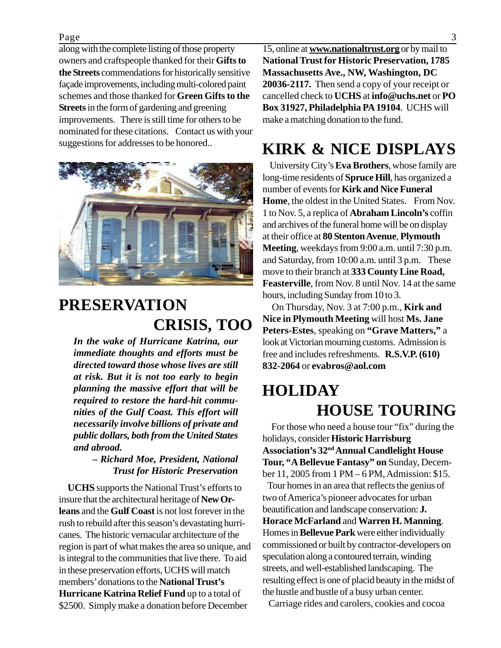Page 3

along with the complete listing of those property owners and craftspeople thanked for their **Gifts to the Streets** commendations for historically sensitive façade improvements, including multi-colored paint schemes and those thanked for **Green Gifts to the Streets** in the form of gardening and greening improvements. There is still time for others to be nominated for these citations. Contact us with your suggestions for addresses to be honored..



#### **PRESERVATION CRISIS, TOO**

*In the wake of Hurricane Katrina, our immediate thoughts and efforts must be directed toward those whose lives are still at risk. But it is not too early to begin planning the massive effort that will be required to restore the hard-hit communities of the Gulf Coast. This effort will necessarily involve billions of private and public dollars, both from the United States and abroad.*

> *– Richard Moe, President, National Trust for Historic Preservation*

 **UCHS** supports the National Trust's efforts to insure that the architectural heritage of **New Orleans** and the **Gulf Coast** is not lost forever in the rush to rebuild after this season's devastating hurricanes. The historic vernacular architecture of the region is part of what makes the area so unique, and is integral to the communities that live there. To aid in these preservation efforts, UCHS will match members' donations to the **National Trust's Hurricane Katrina Relief Fund** up to a total of \$2500. Simply make a donation before December

15, online at **www.nationaltrust.org** or by mail to **National Trust for Historic Preservation, 1785 Massachusetts Ave., NW, Washington, DC 20036-2117.** Then send a copy of your receipt or cancelled check to **UCHS** at **info@uchs.net** or **PO Box 31927, Philadelphia PA 19104**. UCHS will make a matching donation to the fund.

## **KIRK & NICE DISPLAYS**

 University City's **Eva Brothers**, whose family are long-time residents of **Spruce Hill**, has organized a number of events for **Kirk and Nice Funeral Home**, the oldest in the United States. From Nov. 1 to Nov. 5, a replica of **Abraham Lincoln's** coffin and archives of the funeral home will be on display at their office at **80 Stenton Avenue**, **Plymouth Meeting**, weekdays from 9:00 a.m. until 7:30 p.m. and Saturday, from 10:00 a.m. until 3 p.m. These move to their branch at **333 County Line Road, Feasterville**, from Nov. 8 until Nov. 14 at the same hours, including Sunday from 10 to 3.

 On Thursday, Nov. 3 at 7:00 p.m., **Kirk and Nice in Plymouth Meeting** will host **Ms. Jane Peters-Estes**, speaking on **"Grave Matters,"** a look at Victorian mourning customs. Admission is free and includes refreshments. **R.S.V.P. (610) 832-2064** or **evabros@aol.com**

## **HOLIDAY HOUSE TOURING**

For those who need a house tour "fix" during the holidays, consider **Historic Harrisburg Association's 32nd Annual Candlelight House Tour, "A Bellevue Fantasy" on** Sunday, December 11, 2005 from 1 PM – 6 PM, Admission: \$15.

 Tour homes in an area that reflects the genius of two of America's pioneer advocates for urban beautification and landscape conservation: **J. Horace McFarland** and **Warren H. Manning**. Homes in **Bellevue Park** were either individually commissioned or built by contractor-developers on speculation along a contoured terrain, winding streets, and well-established landscaping. The resulting effect is one of placid beauty in the midst of the hustle and bustle of a busy urban center.

Carriage rides and carolers, cookies and cocoa